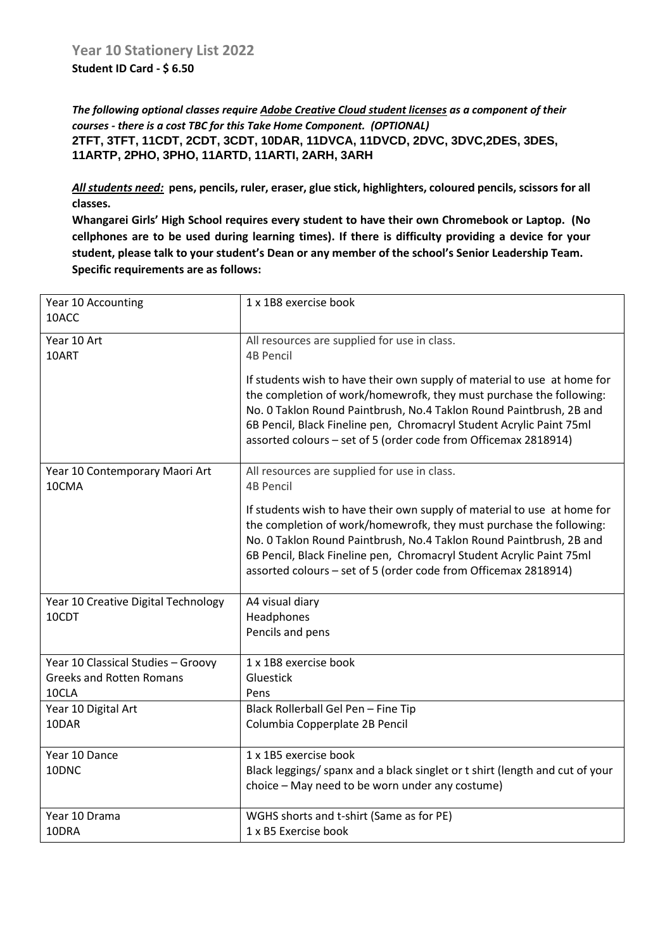*The following optional classes require Adobe Creative Cloud student licenses as a component of their courses - there is a cost TBC for this Take Home Component. (OPTIONAL)* **2TFT, 3TFT, 11CDT, 2CDT, 3CDT, 10DAR, 11DVCA, 11DVCD, 2DVC, 3DVC,2DES, 3DES, 11ARTP, 2PHO, 3PHO, 11ARTD, 11ARTI, 2ARH, 3ARH**

*All students need:* **pens, pencils, ruler, eraser, glue stick, highlighters, coloured pencils, scissors for all classes.** 

**Whangarei Girls' High School requires every student to have their own Chromebook or Laptop. (No cellphones are to be used during learning times). If there is difficulty providing a device for your student, please talk to your student's Dean or any member of the school's Senior Leadership Team. Specific requirements are as follows:**

| Year 10 Accounting<br>10ACC             | 1 x 1B8 exercise book                                                                                                                                                                                                                                                                                                                                             |
|-----------------------------------------|-------------------------------------------------------------------------------------------------------------------------------------------------------------------------------------------------------------------------------------------------------------------------------------------------------------------------------------------------------------------|
| Year 10 Art<br>10ART                    | All resources are supplied for use in class.<br><b>4B Pencil</b>                                                                                                                                                                                                                                                                                                  |
|                                         | If students wish to have their own supply of material to use at home for<br>the completion of work/homewrofk, they must purchase the following:<br>No. 0 Taklon Round Paintbrush, No.4 Taklon Round Paintbrush, 2B and<br>6B Pencil, Black Fineline pen, Chromacryl Student Acrylic Paint 75ml<br>assorted colours - set of 5 (order code from Officemax 2818914) |
| Year 10 Contemporary Maori Art<br>10CMA | All resources are supplied for use in class.<br><b>4B Pencil</b>                                                                                                                                                                                                                                                                                                  |
|                                         | If students wish to have their own supply of material to use at home for<br>the completion of work/homewrofk, they must purchase the following:<br>No. 0 Taklon Round Paintbrush, No.4 Taklon Round Paintbrush, 2B and<br>6B Pencil, Black Fineline pen, Chromacryl Student Acrylic Paint 75ml<br>assorted colours - set of 5 (order code from Officemax 2818914) |
| Year 10 Creative Digital Technology     | A4 visual diary                                                                                                                                                                                                                                                                                                                                                   |
| 10CDT                                   | Headphones<br>Pencils and pens                                                                                                                                                                                                                                                                                                                                    |
| Year 10 Classical Studies - Groovy      | 1 x 1B8 exercise book                                                                                                                                                                                                                                                                                                                                             |
| <b>Greeks and Rotten Romans</b>         | Gluestick                                                                                                                                                                                                                                                                                                                                                         |
| 10CLA                                   | Pens                                                                                                                                                                                                                                                                                                                                                              |
| Year 10 Digital Art<br>10DAR            | Black Rollerball Gel Pen - Fine Tip<br>Columbia Copperplate 2B Pencil                                                                                                                                                                                                                                                                                             |
| Year 10 Dance                           | 1 x 1B5 exercise book                                                                                                                                                                                                                                                                                                                                             |
| 10DNC                                   | Black leggings/ spanx and a black singlet or t shirt (length and cut of your<br>choice - May need to be worn under any costume)                                                                                                                                                                                                                                   |
| Year 10 Drama                           | WGHS shorts and t-shirt (Same as for PE)                                                                                                                                                                                                                                                                                                                          |
| 10DRA                                   | 1 x B5 Exercise book                                                                                                                                                                                                                                                                                                                                              |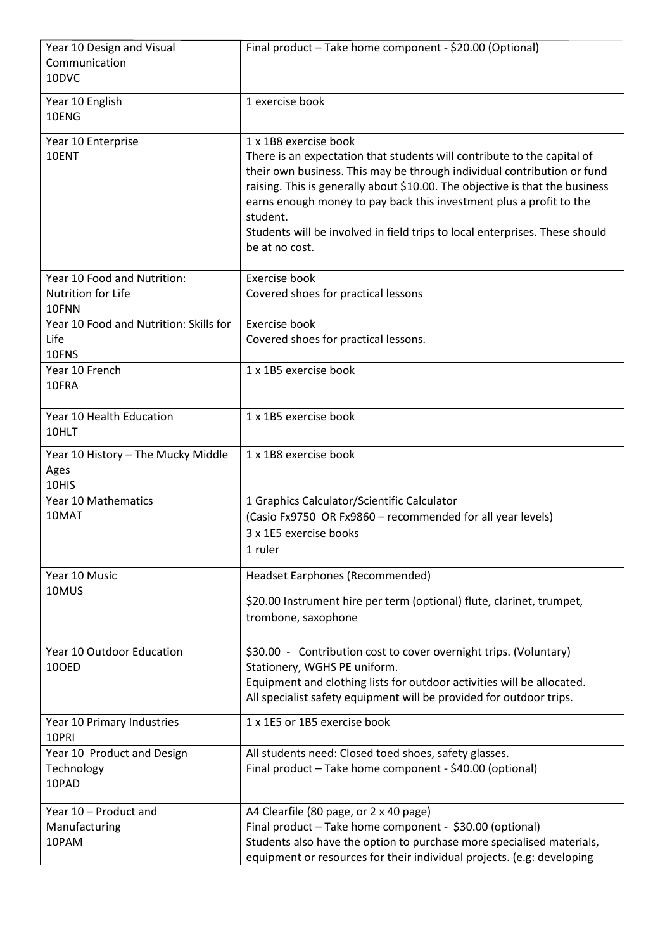| Year 10 Design and Visual<br>Communication<br>10DVC        | Final product - Take home component - \$20.00 (Optional)                                                                                                                                                                                                                                                                                                                                                                                        |
|------------------------------------------------------------|-------------------------------------------------------------------------------------------------------------------------------------------------------------------------------------------------------------------------------------------------------------------------------------------------------------------------------------------------------------------------------------------------------------------------------------------------|
| Year 10 English<br>10ENG                                   | 1 exercise book                                                                                                                                                                                                                                                                                                                                                                                                                                 |
| Year 10 Enterprise<br>10ENT                                | 1 x 1B8 exercise book<br>There is an expectation that students will contribute to the capital of<br>their own business. This may be through individual contribution or fund<br>raising. This is generally about \$10.00. The objective is that the business<br>earns enough money to pay back this investment plus a profit to the<br>student.<br>Students will be involved in field trips to local enterprises. These should<br>be at no cost. |
| Year 10 Food and Nutrition:<br>Nutrition for Life<br>10FNN | Exercise book<br>Covered shoes for practical lessons                                                                                                                                                                                                                                                                                                                                                                                            |
| Year 10 Food and Nutrition: Skills for<br>Life<br>10FNS    | Exercise book<br>Covered shoes for practical lessons.                                                                                                                                                                                                                                                                                                                                                                                           |
| Year 10 French<br>10FRA                                    | 1 x 1B5 exercise book                                                                                                                                                                                                                                                                                                                                                                                                                           |
| Year 10 Health Education<br>10HLT                          | 1 x 1B5 exercise book                                                                                                                                                                                                                                                                                                                                                                                                                           |
| Year 10 History - The Mucky Middle<br>Ages<br>10HIS        | 1 x 1B8 exercise book                                                                                                                                                                                                                                                                                                                                                                                                                           |
| Year 10 Mathematics<br>10MAT                               | 1 Graphics Calculator/Scientific Calculator<br>(Casio Fx9750 OR Fx9860 - recommended for all year levels)<br>3 x 1E5 exercise books<br>1 ruler                                                                                                                                                                                                                                                                                                  |
| Year 10 Music<br>10MUS                                     | Headset Earphones (Recommended)                                                                                                                                                                                                                                                                                                                                                                                                                 |
|                                                            | \$20.00 Instrument hire per term (optional) flute, clarinet, trumpet,<br>trombone, saxophone                                                                                                                                                                                                                                                                                                                                                    |
| Year 10 Outdoor Education<br>10OED                         | \$30.00 - Contribution cost to cover overnight trips. (Voluntary)<br>Stationery, WGHS PE uniform.<br>Equipment and clothing lists for outdoor activities will be allocated.<br>All specialist safety equipment will be provided for outdoor trips.                                                                                                                                                                                              |
| Year 10 Primary Industries<br>10PRI                        | 1 x 1E5 or 1B5 exercise book                                                                                                                                                                                                                                                                                                                                                                                                                    |
| Year 10 Product and Design<br>Technology<br>10PAD          | All students need: Closed toed shoes, safety glasses.<br>Final product - Take home component - \$40.00 (optional)                                                                                                                                                                                                                                                                                                                               |
| Year 10 - Product and<br>Manufacturing<br>10PAM            | A4 Clearfile (80 page, or 2 x 40 page)<br>Final product - Take home component - \$30.00 (optional)<br>Students also have the option to purchase more specialised materials,<br>equipment or resources for their individual projects. (e.g: developing                                                                                                                                                                                           |